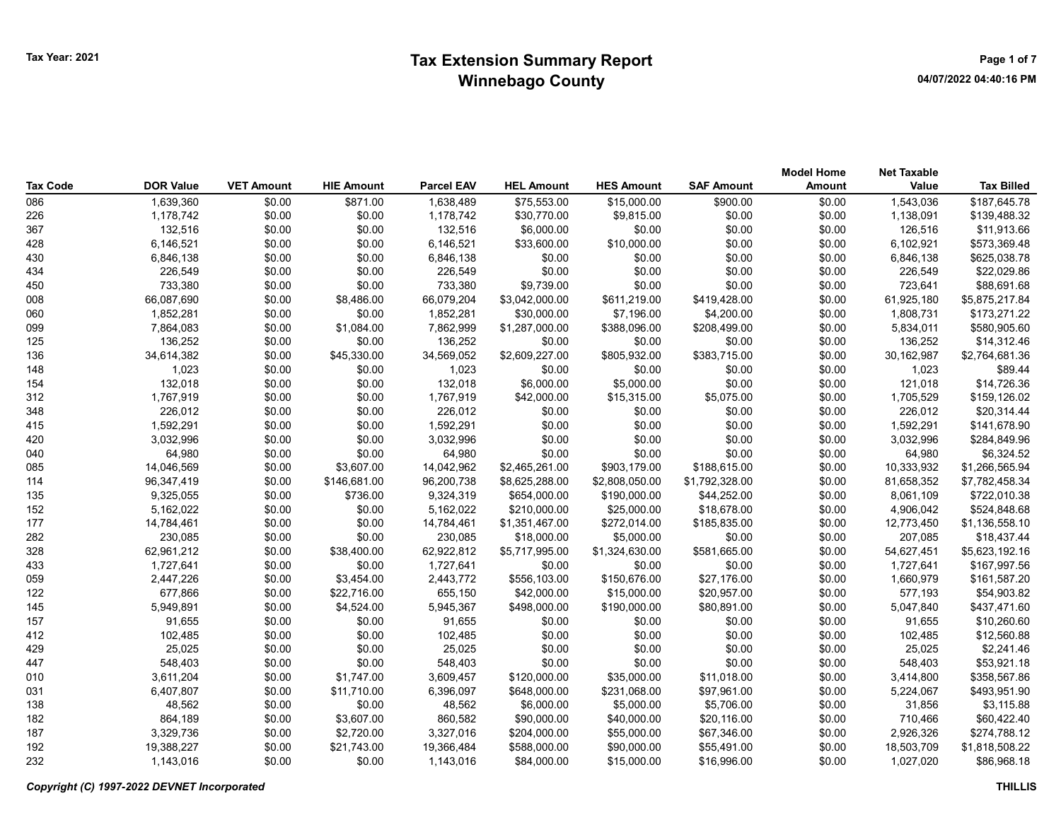| Tax Code | <b>DOR Value</b> | <b>VET Amount</b> | <b>HIE Amount</b> | <b>Parcel EAV</b> | <b>HEL Amount</b> | <b>HES Amount</b> | <b>SAF Amount</b> | <b>Model Home</b><br><b>Amount</b> | <b>Net Taxable</b><br>Value | <b>Tax Billed</b> |
|----------|------------------|-------------------|-------------------|-------------------|-------------------|-------------------|-------------------|------------------------------------|-----------------------------|-------------------|
| 086      | 1,639,360        | \$0.00            | \$871.00          | 1,638,489         | \$75,553.00       | \$15,000.00       | \$900.00          | \$0.00                             | 1,543,036                   | \$187,645.78      |
| 226      | 1,178,742        | \$0.00            | \$0.00            | 1,178,742         | \$30,770.00       | \$9,815.00        | \$0.00            | \$0.00                             | 1,138,091                   | \$139,488.32      |
| 367      | 132,516          | \$0.00            | \$0.00            | 132,516           | \$6,000.00        | \$0.00            | \$0.00            | \$0.00                             | 126,516                     | \$11,913.66       |
| 428      | 6,146,521        | \$0.00            | \$0.00            | 6,146,521         | \$33,600.00       | \$10,000.00       | \$0.00            | \$0.00                             | 6,102,921                   | \$573,369.48      |
| 430      | 6,846,138        | \$0.00            | \$0.00            | 6,846,138         | \$0.00            | \$0.00            | \$0.00            | \$0.00                             | 6,846,138                   | \$625,038.78      |
| 434      | 226,549          | \$0.00            | \$0.00            | 226,549           | \$0.00            | \$0.00            | \$0.00            | \$0.00                             | 226,549                     | \$22,029.86       |
| 450      | 733,380          | \$0.00            | \$0.00            | 733,380           | \$9,739.00        | \$0.00            | \$0.00            | \$0.00                             | 723,641                     | \$88,691.68       |
| 008      | 66,087,690       | \$0.00            | \$8,486.00        | 66,079,204        | \$3,042,000.00    | \$611,219.00      | \$419,428.00      | \$0.00                             | 61,925,180                  | \$5,875,217.84    |
| 060      | 1,852,281        | \$0.00            | \$0.00            | 1,852,281         | \$30,000.00       | \$7,196.00        | \$4,200.00        | \$0.00                             | 1,808,731                   | \$173,271.22      |
| 099      | 7,864,083        | \$0.00            | \$1,084.00        | 7,862,999         | \$1,287,000.00    | \$388,096.00      | \$208,499.00      | \$0.00                             | 5,834,011                   | \$580,905.60      |
| 125      | 136,252          | \$0.00            | \$0.00            | 136,252           | \$0.00            | \$0.00            | \$0.00            | \$0.00                             | 136,252                     | \$14,312.46       |
| 136      | 34,614,382       | \$0.00            | \$45,330.00       | 34,569,052        | \$2,609,227.00    | \$805,932.00      | \$383,715.00      | \$0.00                             | 30,162,987                  | \$2,764,681.36    |
| 148      | 1,023            | \$0.00            | \$0.00            | 1,023             | \$0.00            | \$0.00            | \$0.00            | \$0.00                             | 1,023                       | \$89.44           |
| 154      | 132,018          | \$0.00            | \$0.00            | 132,018           | \$6,000.00        | \$5,000.00        | \$0.00            | \$0.00                             | 121,018                     | \$14,726.36       |
| 312      | 1,767,919        | \$0.00            | \$0.00            | 1,767,919         | \$42,000.00       | \$15,315.00       | \$5,075.00        | \$0.00                             | 1,705,529                   | \$159,126.02      |
| 348      | 226,012          | \$0.00            | \$0.00            | 226,012           | \$0.00            | \$0.00            | \$0.00            | \$0.00                             | 226,012                     | \$20,314.44       |
| 415      | 1,592,291        | \$0.00            | \$0.00            | 1,592,291         | \$0.00            | \$0.00            | \$0.00            | \$0.00                             | 1,592,291                   | \$141,678.90      |
| 420      | 3,032,996        | \$0.00            | \$0.00            | 3,032,996         | \$0.00            | \$0.00            | \$0.00            | \$0.00                             | 3,032,996                   | \$284,849.96      |
| 040      | 64,980           | \$0.00            | \$0.00            | 64,980            | \$0.00            | \$0.00            | \$0.00            | \$0.00                             | 64,980                      | \$6,324.52        |
| 085      | 14,046,569       | \$0.00            | \$3,607.00        | 14,042,962        | \$2,465,261.00    | \$903,179.00      | \$188,615.00      | \$0.00                             | 10,333,932                  | \$1,266,565.94    |
| 114      | 96,347,419       | \$0.00            | \$146,681.00      | 96,200,738        | \$8,625,288.00    | \$2,808,050.00    | \$1,792,328.00    | \$0.00                             | 81,658,352                  | \$7,782,458.34    |
| 135      | 9,325,055        | \$0.00            | \$736.00          | 9,324,319         | \$654,000.00      | \$190,000.00      | \$44,252.00       | \$0.00                             | 8,061,109                   | \$722,010.38      |
| 152      | 5,162,022        | \$0.00            | \$0.00            | 5,162,022         | \$210,000.00      | \$25,000.00       | \$18,678.00       | \$0.00                             | 4,906,042                   | \$524,848.68      |
| 177      | 14,784,461       | \$0.00            | \$0.00            | 14,784,461        | \$1,351,467.00    | \$272,014.00      | \$185,835.00      | \$0.00                             | 12,773,450                  | \$1,136,558.10    |
| 282      | 230,085          | \$0.00            | \$0.00            | 230,085           | \$18,000.00       | \$5,000.00        | \$0.00            | \$0.00                             | 207,085                     | \$18,437.44       |
| 328      | 62,961,212       | \$0.00            | \$38,400.00       | 62,922,812        | \$5,717,995.00    | \$1,324,630.00    | \$581,665.00      | \$0.00                             | 54,627,451                  | \$5,623,192.16    |
| 433      | 1,727,641        | \$0.00            | \$0.00            | 1,727,641         | \$0.00            | \$0.00            | \$0.00            | \$0.00                             | 1,727,641                   | \$167,997.56      |
| 059      | 2,447,226        | \$0.00            | \$3,454.00        | 2,443,772         | \$556,103.00      | \$150,676.00      | \$27,176.00       | \$0.00                             | 1,660,979                   | \$161,587.20      |
| 122      | 677,866          | \$0.00            | \$22,716.00       | 655,150           | \$42,000.00       | \$15,000.00       | \$20,957.00       | \$0.00                             | 577,193                     | \$54,903.82       |
| 145      | 5,949,891        | \$0.00            | \$4,524.00        | 5,945,367         | \$498,000.00      | \$190,000.00      | \$80,891.00       | \$0.00                             | 5,047,840                   | \$437,471.60      |
| 157      | 91,655           | \$0.00            | \$0.00            | 91,655            | \$0.00            | \$0.00            | \$0.00            | \$0.00                             | 91,655                      | \$10,260.60       |
| 412      | 102,485          | \$0.00            | \$0.00            | 102,485           | \$0.00            | \$0.00            | \$0.00            | \$0.00                             | 102,485                     | \$12,560.88       |
| 429      | 25,025           | \$0.00            | \$0.00            | 25,025            | \$0.00            | \$0.00            | \$0.00            | \$0.00                             | 25,025                      | \$2,241.46        |
| 447      | 548,403          | \$0.00            | \$0.00            | 548,403           | \$0.00            | \$0.00            | \$0.00            | \$0.00                             | 548,403                     | \$53,921.18       |
| 010      | 3,611,204        | \$0.00            | \$1,747.00        | 3,609,457         | \$120,000.00      | \$35,000.00       | \$11,018.00       | \$0.00                             | 3,414,800                   | \$358,567.86      |
| 031      | 6,407,807        | \$0.00            | \$11,710.00       | 6,396,097         | \$648,000.00      | \$231,068.00      | \$97,961.00       | \$0.00                             | 5,224,067                   | \$493,951.90      |
| 138      | 48,562           | \$0.00            | \$0.00            | 48,562            | \$6,000.00        | \$5,000.00        | \$5,706.00        | \$0.00                             | 31,856                      | \$3,115.88        |
| 182      | 864,189          | \$0.00            | \$3,607.00        | 860,582           | \$90,000.00       | \$40,000.00       | \$20,116.00       | \$0.00                             | 710,466                     | \$60,422.40       |
| 187      | 3,329,736        | \$0.00            | \$2,720.00        | 3,327,016         | \$204,000.00      | \$55,000.00       | \$67,346.00       | \$0.00                             | 2,926,326                   | \$274,788.12      |
| 192      | 19,388,227       | \$0.00            | \$21,743.00       | 19,366,484        | \$588,000.00      | \$90,000.00       | \$55,491.00       | \$0.00                             | 18,503,709                  | \$1,818,508.22    |
| 232      | 1,143,016        | \$0.00            | \$0.00            | 1,143,016         | \$84,000.00       | \$15,000.00       | \$16,996.00       | \$0.00                             | 1,027,020                   | \$86,968.18       |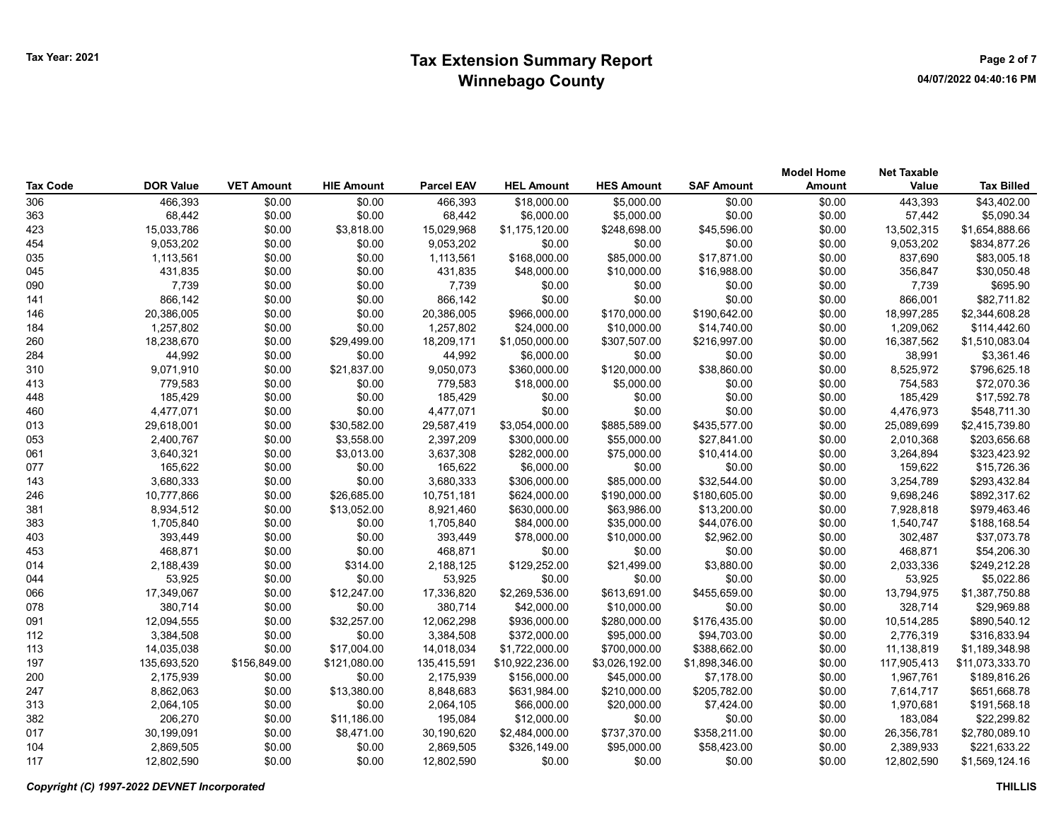|                 |                  |                   |                   |                   |                   |                   |                   | <b>Model Home</b> | <b>Net Taxable</b> |                   |
|-----------------|------------------|-------------------|-------------------|-------------------|-------------------|-------------------|-------------------|-------------------|--------------------|-------------------|
| <b>Tax Code</b> | <b>DOR Value</b> | <b>VET Amount</b> | <b>HIE Amount</b> | <b>Parcel EAV</b> | <b>HEL Amount</b> | <b>HES Amount</b> | <b>SAF Amount</b> | Amount            | Value              | <b>Tax Billed</b> |
| 306             | 466,393          | \$0.00            | \$0.00            | 466,393           | \$18,000.00       | \$5,000.00        | \$0.00            | \$0.00            | 443,393            | \$43,402.00       |
| 363             | 68,442           | \$0.00            | \$0.00            | 68,442            | \$6,000.00        | \$5,000.00        | \$0.00            | \$0.00            | 57,442             | \$5,090.34        |
| 423             | 15,033,786       | \$0.00            | \$3,818.00        | 15,029,968        | \$1,175,120.00    | \$248,698.00      | \$45,596.00       | \$0.00            | 13,502,315         | \$1,654,888.66    |
| 454             | 9,053,202        | \$0.00            | \$0.00            | 9,053,202         | \$0.00            | \$0.00            | \$0.00            | \$0.00            | 9,053,202          | \$834,877.26      |
| 035             | 1,113,561        | \$0.00            | \$0.00            | 1,113,561         | \$168,000.00      | \$85,000.00       | \$17,871.00       | \$0.00            | 837,690            | \$83,005.18       |
| 045             | 431,835          | \$0.00            | \$0.00            | 431,835           | \$48,000.00       | \$10,000.00       | \$16,988.00       | \$0.00            | 356,847            | \$30,050.48       |
| 090             | 7,739            | \$0.00            | \$0.00            | 7,739             | \$0.00            | \$0.00            | \$0.00            | \$0.00            | 7,739              | \$695.90          |
| 141             | 866,142          | \$0.00            | \$0.00            | 866,142           | \$0.00            | \$0.00            | \$0.00            | \$0.00            | 866,001            | \$82,711.82       |
| 146             | 20,386,005       | \$0.00            | \$0.00            | 20,386,005        | \$966,000.00      | \$170,000.00      | \$190,642.00      | \$0.00            | 18,997,285         | \$2,344,608.28    |
| 184             | 1,257,802        | \$0.00            | \$0.00            | 1,257,802         | \$24,000.00       | \$10,000.00       | \$14,740.00       | \$0.00            | 1,209,062          | \$114,442.60      |
| 260             | 18,238,670       | \$0.00            | \$29,499.00       | 18,209,171        | \$1,050,000.00    | \$307,507.00      | \$216,997.00      | \$0.00            | 16,387,562         | \$1,510,083.04    |
| 284             | 44,992           | \$0.00            | \$0.00            | 44,992            | \$6,000.00        | \$0.00            | \$0.00            | \$0.00            | 38,991             | \$3,361.46        |
| 310             | 9,071,910        | \$0.00            | \$21,837.00       | 9,050,073         | \$360,000.00      | \$120,000.00      | \$38,860.00       | \$0.00            | 8,525,972          | \$796,625.18      |
| 413             | 779,583          | \$0.00            | \$0.00            | 779,583           | \$18,000.00       | \$5,000.00        | \$0.00            | \$0.00            | 754,583            | \$72,070.36       |
| 448             | 185,429          | \$0.00            | \$0.00            | 185,429           | \$0.00            | \$0.00            | \$0.00            | \$0.00            | 185,429            | \$17,592.78       |
| 460             | 4,477,071        | \$0.00            | \$0.00            | 4,477,071         | \$0.00            | \$0.00            | \$0.00            | \$0.00            | 4,476,973          | \$548,711.30      |
| 013             | 29,618,001       | \$0.00            | \$30,582.00       | 29,587,419        | \$3,054,000.00    | \$885,589.00      | \$435,577.00      | \$0.00            | 25,089,699         | \$2,415,739.80    |
| 053             | 2,400,767        | \$0.00            | \$3,558.00        | 2,397,209         | \$300,000.00      | \$55,000.00       | \$27,841.00       | \$0.00            | 2,010,368          | \$203,656.68      |
| 061             | 3,640,321        | \$0.00            | \$3,013.00        | 3,637,308         | \$282,000.00      | \$75,000.00       | \$10,414.00       | \$0.00            | 3,264,894          | \$323,423.92      |
| 077             | 165,622          | \$0.00            | \$0.00            | 165,622           | \$6,000.00        | \$0.00            | \$0.00            | \$0.00            | 159,622            | \$15,726.36       |
| 143             | 3,680,333        | \$0.00            | \$0.00            | 3,680,333         | \$306,000.00      | \$85,000.00       | \$32,544.00       | \$0.00            | 3,254,789          | \$293,432.84      |
| 246             | 10,777,866       | \$0.00            | \$26,685.00       | 10,751,181        | \$624,000.00      | \$190,000.00      | \$180,605.00      | \$0.00            | 9,698,246          | \$892,317.62      |
| 381             | 8,934,512        | \$0.00            | \$13,052.00       | 8,921,460         | \$630,000.00      | \$63,986.00       | \$13,200.00       | \$0.00            | 7,928,818          | \$979,463.46      |
| 383             | 1,705,840        | \$0.00            | \$0.00            | 1,705,840         | \$84,000.00       | \$35,000.00       | \$44,076.00       | \$0.00            | 1,540,747          | \$188,168.54      |
| 403             | 393,449          | \$0.00            | \$0.00            | 393,449           | \$78,000.00       | \$10,000.00       | \$2,962.00        | \$0.00            | 302,487            | \$37,073.78       |
| 453             | 468,871          | \$0.00            | \$0.00            | 468,871           | \$0.00            | \$0.00            | \$0.00            | \$0.00            | 468,871            | \$54,206.30       |
| 014             | 2,188,439        | \$0.00            | \$314.00          | 2,188,125         | \$129,252.00      | \$21,499.00       | \$3,880.00        | \$0.00            | 2,033,336          | \$249,212.28      |
| 044             | 53,925           | \$0.00            | \$0.00            | 53,925            | \$0.00            | \$0.00            | \$0.00            | \$0.00            | 53,925             | \$5,022.86        |
| 066             | 17,349,067       | \$0.00            | \$12,247.00       | 17,336,820        | \$2,269,536.00    | \$613,691.00      | \$455,659.00      | \$0.00            | 13,794,975         | \$1,387,750.88    |
| 078             | 380,714          | \$0.00            | \$0.00            | 380,714           | \$42,000.00       | \$10,000.00       | \$0.00            | \$0.00            | 328,714            | \$29,969.88       |
| 091             | 12,094,555       | \$0.00            | \$32,257.00       | 12,062,298        | \$936,000.00      | \$280,000.00      | \$176,435.00      | \$0.00            | 10,514,285         | \$890,540.12      |
| 112             | 3,384,508        | \$0.00            | \$0.00            | 3,384,508         | \$372,000.00      | \$95,000.00       | \$94,703.00       | \$0.00            | 2,776,319          | \$316,833.94      |
| 113             | 14,035,038       | \$0.00            | \$17,004.00       | 14,018,034        | \$1,722,000.00    | \$700,000.00      | \$388,662.00      | \$0.00            | 11,138,819         | \$1,189,348.98    |
| 197             | 135,693,520      | \$156,849.00      | \$121,080.00      | 135,415,591       | \$10,922,236.00   | \$3,026,192.00    | \$1,898,346.00    | \$0.00            | 117,905,413        | \$11,073,333.70   |
| 200             | 2,175,939        | \$0.00            | \$0.00            | 2,175,939         | \$156,000.00      | \$45,000.00       | \$7,178.00        | \$0.00            | 1,967,761          | \$189,816.26      |
| 247             | 8,862,063        | \$0.00            | \$13,380.00       | 8,848,683         | \$631,984.00      | \$210,000.00      | \$205,782.00      | \$0.00            | 7,614,717          | \$651,668.78      |
| 313             | 2,064,105        | \$0.00            | \$0.00            | 2,064,105         | \$66,000.00       | \$20,000.00       | \$7,424.00        | \$0.00            | 1,970,681          | \$191,568.18      |
| 382             | 206,270          | \$0.00            | \$11,186.00       | 195,084           | \$12,000.00       | \$0.00            | \$0.00            | \$0.00            | 183,084            | \$22,299.82       |
| 017             | 30,199,091       | \$0.00            | \$8,471.00        | 30,190,620        | \$2,484,000.00    | \$737,370.00      | \$358,211.00      | \$0.00            | 26,356,781         | \$2,780,089.10    |
| 104             | 2,869,505        | \$0.00            | \$0.00            | 2,869,505         | \$326,149.00      | \$95,000.00       | \$58,423.00       | \$0.00            | 2,389,933          | \$221,633.22      |
| 117             | 12,802,590       | \$0.00            | \$0.00            | 12,802,590        | \$0.00            | \$0.00            | \$0.00            | \$0.00            | 12,802,590         | \$1,569,124.16    |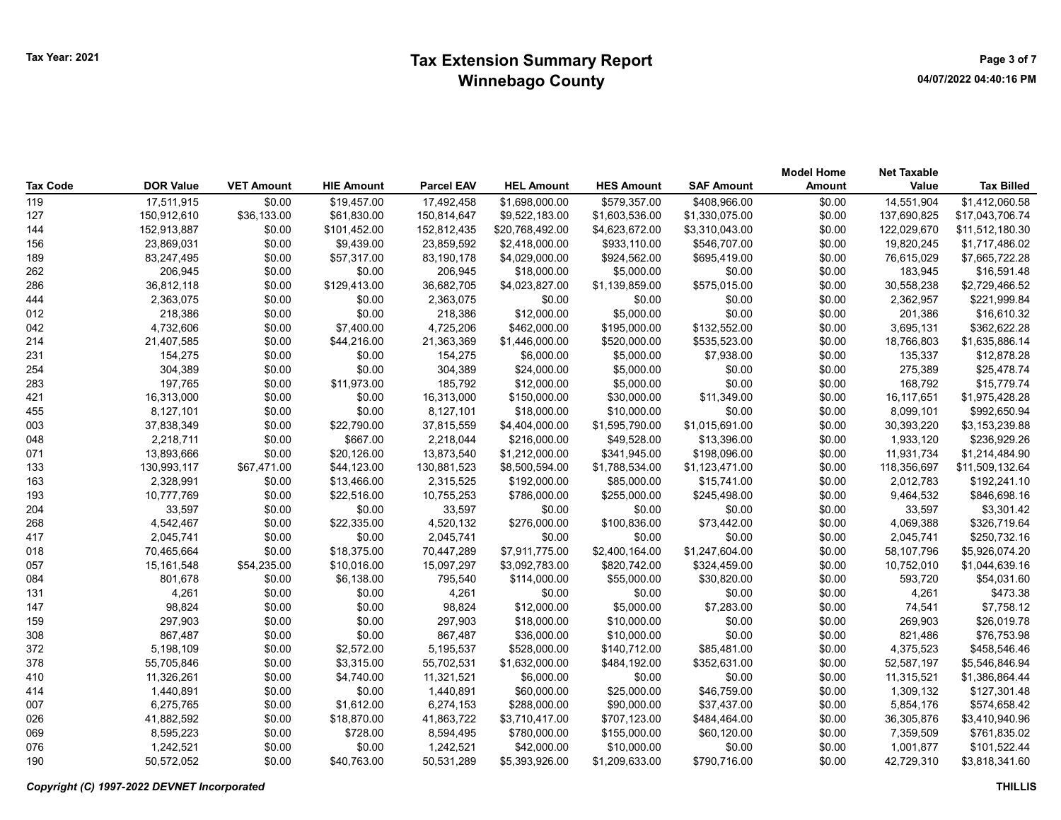## Tax Extension Summary Report Tax Year: 2021 Page 3 of 7 Winnebago County

| <b>Tax Code</b> | <b>DOR Value</b> | <b>VET Amount</b> | <b>HIE Amount</b> | <b>Parcel EAV</b> | <b>HEL Amount</b> | <b>HES Amount</b> | <b>SAF Amount</b> | <b>Model Home</b><br>Amount | <b>Net Taxable</b><br>Value | <b>Tax Billed</b> |
|-----------------|------------------|-------------------|-------------------|-------------------|-------------------|-------------------|-------------------|-----------------------------|-----------------------------|-------------------|
| 119             | 17,511,915       | \$0.00            | \$19,457.00       | 17,492,458        | \$1,698,000.00    | \$579,357.00      | \$408,966.00      | \$0.00                      | 14,551,904                  | \$1,412,060.58    |
| 127             | 150,912,610      | \$36,133.00       | \$61,830.00       | 150,814,647       | \$9,522,183.00    | \$1,603,536.00    | \$1,330,075.00    | \$0.00                      | 137,690,825                 | \$17,043,706.74   |
| 144             | 152,913,887      | \$0.00            | \$101,452.00      | 152,812,435       | \$20,768,492.00   | \$4,623,672.00    | \$3,310,043.00    | \$0.00                      | 122,029,670                 | \$11,512,180.30   |
| 156             | 23,869,031       | \$0.00            | \$9,439.00        | 23,859,592        | \$2,418,000.00    | \$933,110.00      | \$546,707.00      | \$0.00                      | 19,820,245                  | \$1,717,486.02    |
| 189             | 83,247,495       | \$0.00            | \$57,317.00       | 83,190,178        | \$4,029,000.00    | \$924,562.00      | \$695,419.00      | \$0.00                      | 76,615,029                  | \$7,665,722.28    |
| 262             | 206,945          | \$0.00            | \$0.00            | 206,945           | \$18,000.00       | \$5,000.00        | \$0.00            | \$0.00                      | 183,945                     | \$16,591.48       |
| 286             | 36,812,118       | \$0.00            | \$129,413.00      | 36,682,705        | \$4,023,827.00    | \$1,139,859.00    | \$575,015.00      | \$0.00                      | 30,558,238                  | \$2,729,466.52    |
| 444             | 2,363,075        | \$0.00            | \$0.00            | 2,363,075         | \$0.00            | \$0.00            | \$0.00            | \$0.00                      | 2,362,957                   | \$221,999.84      |
| 012             | 218,386          | \$0.00            | \$0.00            | 218,386           | \$12,000.00       | \$5,000.00        | \$0.00            | \$0.00                      | 201,386                     | \$16,610.32       |
| 042             | 4,732,606        | \$0.00            | \$7,400.00        | 4,725,206         | \$462,000.00      | \$195,000.00      | \$132,552.00      | \$0.00                      | 3,695,131                   | \$362,622.28      |
| 214             | 21,407,585       | \$0.00            | \$44,216.00       | 21,363,369        | \$1,446,000.00    | \$520,000.00      | \$535,523.00      | \$0.00                      | 18,766,803                  | \$1,635,886.14    |
| 231             | 154,275          | \$0.00            | \$0.00            | 154,275           | \$6,000.00        | \$5,000.00        | \$7,938.00        | \$0.00                      | 135,337                     | \$12,878.28       |
| 254             | 304,389          | \$0.00            | \$0.00            | 304,389           | \$24,000.00       | \$5,000.00        | \$0.00            | \$0.00                      | 275,389                     | \$25,478.74       |
| 283             | 197,765          | \$0.00            | \$11,973.00       | 185,792           | \$12,000.00       | \$5,000.00        | \$0.00            | \$0.00                      | 168,792                     | \$15,779.74       |
| 421             | 16,313,000       | \$0.00            | \$0.00            | 16,313,000        | \$150,000.00      | \$30,000.00       | \$11,349.00       | \$0.00                      | 16, 117, 651                | \$1,975,428.28    |
| 455             | 8,127,101        | \$0.00            | \$0.00            | 8,127,101         | \$18,000.00       | \$10,000.00       | \$0.00            | \$0.00                      | 8,099,101                   | \$992,650.94      |
| 003             | 37,838,349       | \$0.00            | \$22,790.00       | 37,815,559        | \$4,404,000.00    | \$1,595,790.00    | \$1,015,691.00    | \$0.00                      | 30,393,220                  | \$3,153,239.88    |
| 048             | 2,218,711        | \$0.00            | \$667.00          | 2,218,044         | \$216,000.00      | \$49,528.00       | \$13,396.00       | \$0.00                      | 1,933,120                   | \$236,929.26      |
| 071             | 13,893,666       | \$0.00            | \$20,126.00       | 13,873,540        | \$1,212,000.00    | \$341,945.00      | \$198,096.00      | \$0.00                      | 11,931,734                  | \$1,214,484.90    |
| 133             | 130,993,117      | \$67,471.00       | \$44,123.00       | 130,881,523       | \$8,500,594.00    | \$1,788,534.00    | \$1,123,471.00    | \$0.00                      | 118,356,697                 | \$11,509,132.64   |
| 163             | 2,328,991        | \$0.00            | \$13,466.00       | 2,315,525         | \$192,000.00      | \$85,000.00       | \$15,741.00       | \$0.00                      | 2,012,783                   | \$192,241.10      |
| 193             | 10,777,769       | \$0.00            | \$22,516.00       | 10,755,253        | \$786,000.00      | \$255,000.00      | \$245,498.00      | \$0.00                      | 9,464,532                   | \$846,698.16      |
| 204             | 33,597           | \$0.00            | \$0.00            | 33,597            | \$0.00            | \$0.00            | \$0.00            | \$0.00                      | 33,597                      | \$3,301.42        |
| 268             | 4,542,467        | \$0.00            | \$22,335.00       | 4,520,132         | \$276,000.00      | \$100,836.00      | \$73,442.00       | \$0.00                      | 4,069,388                   | \$326,719.64      |
| 417             | 2,045,741        | \$0.00            | \$0.00            | 2,045,741         | \$0.00            | \$0.00            | \$0.00            | \$0.00                      | 2,045,741                   | \$250,732.16      |
| 018             | 70,465,664       | \$0.00            | \$18,375.00       | 70,447,289        | \$7,911,775.00    | \$2,400,164.00    | \$1,247,604.00    | \$0.00                      | 58,107,796                  | \$5,926,074.20    |
| 057             | 15,161,548       | \$54,235.00       | \$10,016.00       | 15,097,297        | \$3,092,783.00    | \$820,742.00      | \$324,459.00      | \$0.00                      | 10,752,010                  | \$1,044,639.16    |
| 084             | 801,678          | \$0.00            | \$6,138.00        | 795,540           | \$114,000.00      | \$55,000.00       | \$30,820.00       | \$0.00                      | 593,720                     | \$54,031.60       |
| 131             | 4,261            | \$0.00            | \$0.00            | 4,261             | \$0.00            | \$0.00            | \$0.00            | \$0.00                      | 4,261                       | \$473.38          |
| 147             | 98,824           | \$0.00            | \$0.00            | 98,824            | \$12,000.00       | \$5,000.00        | \$7,283.00        | \$0.00                      | 74,541                      | \$7,758.12        |
| 159             | 297,903          | \$0.00            | \$0.00            | 297,903           | \$18,000.00       | \$10,000.00       | \$0.00            | \$0.00                      | 269,903                     | \$26,019.78       |
| 308             | 867,487          | \$0.00            | \$0.00            | 867,487           | \$36,000.00       | \$10,000.00       | \$0.00            | \$0.00                      | 821,486                     | \$76,753.98       |
| 372             | 5,198,109        | \$0.00            | \$2,572.00        | 5,195,537         | \$528,000.00      | \$140,712.00      | \$85,481.00       | \$0.00                      | 4,375,523                   | \$458,546.46      |
| 378             | 55,705,846       | \$0.00            | \$3,315.00        | 55,702,531        | \$1,632,000.00    | \$484,192.00      | \$352,631.00      | \$0.00                      | 52,587,197                  | \$5,546,846.94    |
| 410             | 11,326,261       | \$0.00            | \$4,740.00        | 11,321,521        | \$6,000.00        | \$0.00            | \$0.00            | \$0.00                      | 11,315,521                  | \$1,386,864.44    |
| 414             | 1,440,891        | \$0.00            | \$0.00            | 1,440,891         | \$60,000.00       | \$25,000.00       | \$46,759.00       | \$0.00                      | 1,309,132                   | \$127,301.48      |
| 007             | 6,275,765        | \$0.00            | \$1,612.00        | 6,274,153         | \$288,000.00      | \$90,000.00       | \$37,437.00       | \$0.00                      | 5,854,176                   | \$574,658.42      |
| 026             | 41,882,592       | \$0.00            | \$18,870.00       | 41,863,722        | \$3,710,417.00    | \$707,123.00      | \$484,464.00      | \$0.00                      | 36,305,876                  | \$3,410,940.96    |
| 069             | 8,595,223        | \$0.00            | \$728.00          | 8,594,495         | \$780,000.00      | \$155,000.00      | \$60,120.00       | \$0.00                      | 7,359,509                   | \$761,835.02      |
| 076             | 1,242,521        | \$0.00            | \$0.00            | 1,242,521         | \$42,000.00       | \$10,000.00       | \$0.00            | \$0.00                      | 1,001,877                   | \$101,522.44      |
| 190             | 50,572,052       | \$0.00            | \$40,763.00       | 50.531.289        | \$5,393,926.00    | \$1,209,633.00    | \$790.716.00      | \$0.00                      | 42.729.310                  | \$3,818,341.60    |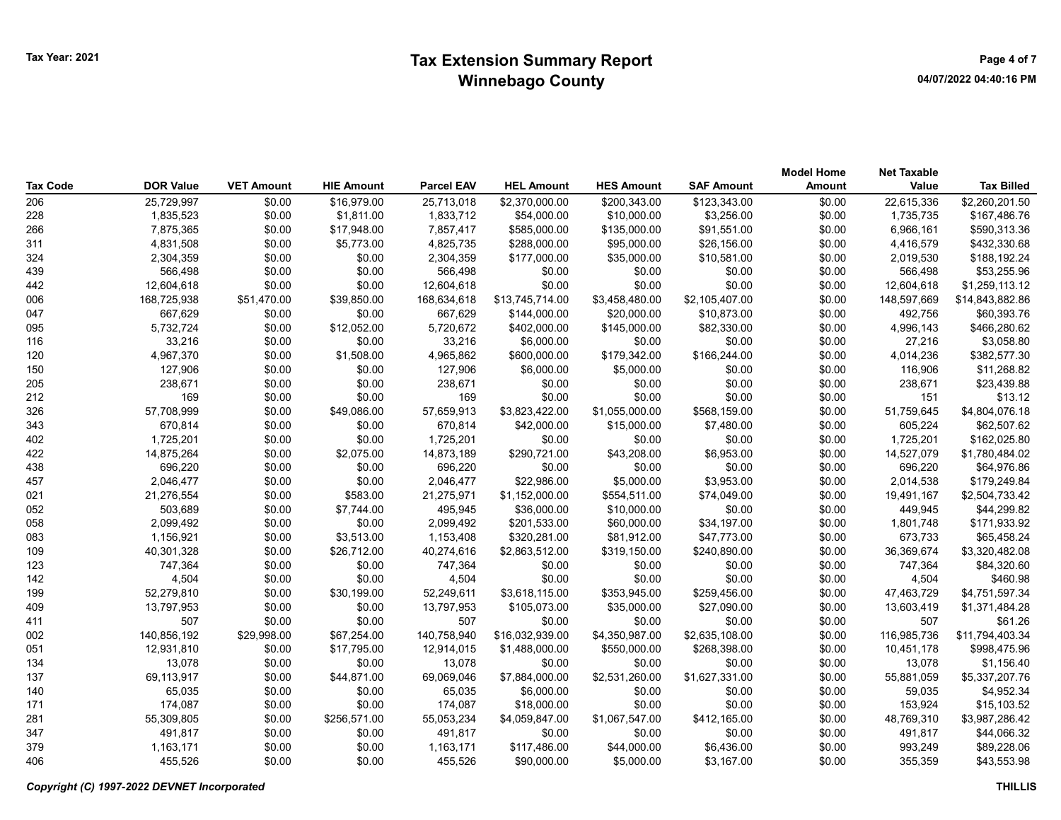|          |                  |                   |                   |                   |                   |                   |                   | <b>Model Home</b> | <b>Net Taxable</b> |                   |
|----------|------------------|-------------------|-------------------|-------------------|-------------------|-------------------|-------------------|-------------------|--------------------|-------------------|
| Tax Code | <b>DOR Value</b> | <b>VET Amount</b> | <b>HIE Amount</b> | <b>Parcel EAV</b> | <b>HEL Amount</b> | <b>HES Amount</b> | <b>SAF Amount</b> | Amount            | Value              | <b>Tax Billed</b> |
| 206      | 25,729,997       | \$0.00            | \$16,979.00       | 25,713,018        | \$2,370,000.00    | \$200,343.00      | \$123,343.00      | \$0.00            | 22,615,336         | \$2,260,201.50    |
| 228      | 1,835,523        | \$0.00            | \$1,811.00        | 1,833,712         | \$54,000.00       | \$10,000.00       | \$3,256.00        | \$0.00            | 1,735,735          | \$167,486.76      |
| 266      | 7,875,365        | \$0.00            | \$17,948.00       | 7,857,417         | \$585,000.00      | \$135,000.00      | \$91,551.00       | \$0.00            | 6,966,161          | \$590,313.36      |
| 311      | 4,831,508        | \$0.00            | \$5,773.00        | 4,825,735         | \$288,000.00      | \$95,000.00       | \$26,156.00       | \$0.00            | 4,416,579          | \$432,330.68      |
| 324      | 2,304,359        | \$0.00            | \$0.00            | 2,304,359         | \$177,000.00      | \$35,000.00       | \$10,581.00       | \$0.00            | 2,019,530          | \$188,192.24      |
| 439      | 566,498          | \$0.00            | \$0.00            | 566,498           | \$0.00            | \$0.00            | \$0.00            | \$0.00            | 566,498            | \$53,255.96       |
| 442      | 12,604,618       | \$0.00            | \$0.00            | 12,604,618        | \$0.00            | \$0.00            | \$0.00            | \$0.00            | 12,604,618         | \$1,259,113.12    |
| 006      | 168,725,938      | \$51,470.00       | \$39,850.00       | 168,634,618       | \$13,745,714.00   | \$3,458,480.00    | \$2,105,407.00    | \$0.00            | 148,597,669        | \$14,843,882.86   |
| 047      | 667,629          | \$0.00            | \$0.00            | 667.629           | \$144,000.00      | \$20,000.00       | \$10,873.00       | \$0.00            | 492.756            | \$60,393.76       |
| 095      | 5,732,724        | \$0.00            | \$12,052.00       | 5,720,672         | \$402,000.00      | \$145,000.00      | \$82,330.00       | \$0.00            | 4,996,143          | \$466,280.62      |
| 116      | 33,216           | \$0.00            | \$0.00            | 33,216            | \$6,000.00        | \$0.00            | \$0.00            | \$0.00            | 27,216             | \$3,058.80        |
| 120      | 4,967,370        | \$0.00            | \$1,508.00        | 4,965,862         | \$600,000.00      | \$179,342.00      | \$166,244.00      | \$0.00            | 4,014,236          | \$382,577.30      |
| 150      | 127,906          | \$0.00            | \$0.00            | 127,906           | \$6,000.00        | \$5,000.00        | \$0.00            | \$0.00            | 116,906            | \$11,268.82       |
| 205      | 238,671          | \$0.00            | \$0.00            | 238,671           | \$0.00            | \$0.00            | \$0.00            | \$0.00            | 238,671            | \$23,439.88       |
| 212      | 169              | \$0.00            | \$0.00            | 169               | \$0.00            | \$0.00            | \$0.00            | \$0.00            | 151                | \$13.12           |
| 326      | 57,708,999       | \$0.00            | \$49,086.00       | 57,659,913        | \$3,823,422.00    | \$1,055,000.00    | \$568,159.00      | \$0.00            | 51,759,645         | \$4,804,076.18    |
| 343      | 670,814          | \$0.00            | \$0.00            | 670,814           | \$42,000.00       | \$15,000.00       | \$7,480.00        | \$0.00            | 605,224            | \$62,507.62       |
| 402      | 1,725,201        | \$0.00            | \$0.00            | 1,725,201         | \$0.00            | \$0.00            | \$0.00            | \$0.00            | 1,725,201          | \$162,025.80      |
| 422      | 14,875,264       | \$0.00            | \$2,075.00        | 14,873,189        | \$290,721.00      | \$43,208.00       | \$6,953.00        | \$0.00            | 14,527,079         | \$1,780,484.02    |
| 438      | 696,220          | \$0.00            | \$0.00            | 696,220           | \$0.00            | \$0.00            | \$0.00            | \$0.00            | 696,220            | \$64,976.86       |
| 457      | 2,046,477        | \$0.00            | \$0.00            | 2,046,477         | \$22,986.00       | \$5,000.00        | \$3,953.00        | \$0.00            | 2,014,538          | \$179,249.84      |
| 021      | 21,276,554       | \$0.00            | \$583.00          | 21,275,971        | \$1,152,000.00    | \$554,511.00      | \$74,049.00       | \$0.00            | 19,491,167         | \$2,504,733.42    |
| 052      | 503,689          | \$0.00            | \$7,744.00        | 495,945           | \$36,000.00       | \$10,000.00       | \$0.00            | \$0.00            | 449,945            | \$44,299.82       |
| 058      | 2,099,492        | \$0.00            | \$0.00            | 2,099,492         | \$201,533.00      | \$60,000.00       | \$34,197.00       | \$0.00            | 1,801,748          | \$171,933.92      |
| 083      | 1,156,921        | \$0.00            | \$3,513.00        | 1,153,408         | \$320,281.00      | \$81,912.00       | \$47,773.00       | \$0.00            | 673,733            | \$65,458.24       |
| 109      | 40,301,328       | \$0.00            | \$26,712.00       | 40,274,616        | \$2,863,512.00    | \$319,150.00      | \$240,890.00      | \$0.00            | 36,369,674         | \$3,320,482.08    |
| 123      | 747,364          | \$0.00            | \$0.00            | 747,364           | \$0.00            | \$0.00            | \$0.00            | \$0.00            | 747,364            | \$84,320.60       |
| 142      | 4,504            | \$0.00            | \$0.00            | 4,504             | \$0.00            | \$0.00            | \$0.00            | \$0.00            | 4,504              | \$460.98          |
| 199      | 52,279,810       | \$0.00            | \$30,199.00       | 52,249,611        | \$3,618,115.00    | \$353,945.00      | \$259,456.00      | \$0.00            | 47,463,729         | \$4,751,597.34    |
| 409      | 13,797,953       | \$0.00            | \$0.00            | 13,797,953        | \$105,073.00      | \$35,000.00       | \$27,090.00       | \$0.00            | 13,603,419         | \$1,371,484.28    |
| 411      | 507              | \$0.00            | \$0.00            | 507               | \$0.00            | \$0.00            | \$0.00            | \$0.00            | 507                | \$61.26           |
| 002      | 140,856,192      | \$29,998.00       | \$67,254.00       | 140,758,940       | \$16,032,939.00   | \$4,350,987.00    | \$2,635,108.00    | \$0.00            | 116,985,736        | \$11,794,403.34   |
| 051      | 12,931,810       | \$0.00            | \$17,795.00       | 12,914,015        | \$1,488,000.00    | \$550,000.00      | \$268,398.00      | \$0.00            | 10,451,178         | \$998,475.96      |
| 134      | 13,078           | \$0.00            | \$0.00            | 13,078            | \$0.00            | \$0.00            | \$0.00            | \$0.00            | 13,078             | \$1,156.40        |
| 137      | 69,113,917       | \$0.00            | \$44,871.00       | 69,069,046        | \$7,884,000.00    | \$2,531,260.00    | \$1,627,331.00    | \$0.00            | 55,881,059         | \$5,337,207.76    |
| 140      | 65,035           | \$0.00            | \$0.00            | 65,035            | \$6,000.00        | \$0.00            | \$0.00            | \$0.00            | 59,035             | \$4,952.34        |
| 171      | 174,087          | \$0.00            | \$0.00            | 174,087           | \$18,000.00       | \$0.00            | \$0.00            | \$0.00            | 153,924            | \$15,103.52       |
| 281      | 55,309,805       | \$0.00            | \$256,571.00      | 55,053,234        | \$4,059,847.00    | \$1,067,547.00    | \$412,165.00      | \$0.00            | 48,769,310         | \$3,987,286.42    |
| 347      | 491,817          | \$0.00            | \$0.00            | 491,817           | \$0.00            | \$0.00            | \$0.00            | \$0.00            | 491,817            | \$44,066.32       |
| 379      | 1,163,171        | \$0.00            | \$0.00            | 1,163,171         | \$117,486.00      | \$44,000.00       | \$6,436.00        | \$0.00            | 993,249            | \$89,228.06       |
| 406      | 455,526          | \$0.00            | \$0.00            | 455.526           | \$90,000.00       | \$5,000.00        | \$3.167.00        | \$0.00            | 355.359            | \$43,553.98       |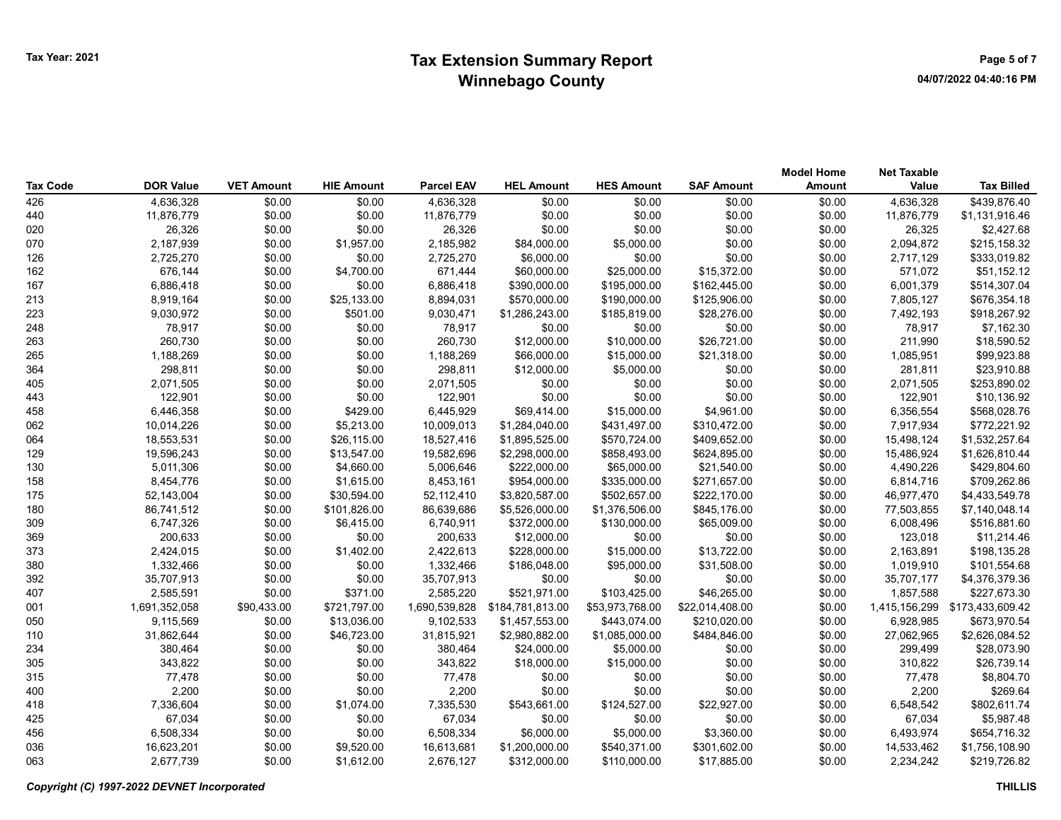|                 |                  |                   |                   |                   |                   |                   |                   | <b>Model Home</b> | <b>Net Taxable</b> |                   |
|-----------------|------------------|-------------------|-------------------|-------------------|-------------------|-------------------|-------------------|-------------------|--------------------|-------------------|
| <b>Tax Code</b> | <b>DOR Value</b> | <b>VET Amount</b> | <b>HIE Amount</b> | <b>Parcel EAV</b> | <b>HEL Amount</b> | <b>HES Amount</b> | <b>SAF Amount</b> | <b>Amount</b>     | Value              | <b>Tax Billed</b> |
| 426             | 4,636,328        | \$0.00            | \$0.00            | 4,636,328         | \$0.00            | \$0.00            | \$0.00            | \$0.00            | 4,636,328          | \$439,876.40      |
| 440             | 11,876,779       | \$0.00            | \$0.00            | 11,876,779        | \$0.00            | \$0.00            | \$0.00            | \$0.00            | 11,876,779         | \$1,131,916.46    |
| 020             | 26,326           | \$0.00            | \$0.00            | 26,326            | \$0.00            | \$0.00            | \$0.00            | \$0.00            | 26,325             | \$2,427.68        |
| 070             | 2,187,939        | \$0.00            | \$1,957.00        | 2,185,982         | \$84,000.00       | \$5,000.00        | \$0.00            | \$0.00            | 2,094,872          | \$215,158.32      |
| 126             | 2,725,270        | \$0.00            | \$0.00            | 2,725,270         | \$6,000.00        | \$0.00            | \$0.00            | \$0.00            | 2,717,129          | \$333,019.82      |
| 162             | 676,144          | \$0.00            | \$4,700.00        | 671,444           | \$60,000.00       | \$25,000.00       | \$15,372.00       | \$0.00            | 571,072            | \$51,152.12       |
| 167             | 6,886,418        | \$0.00            | \$0.00            | 6,886,418         | \$390,000.00      | \$195,000.00      | \$162,445.00      | \$0.00            | 6,001,379          | \$514,307.04      |
| 213             | 8,919,164        | \$0.00            | \$25,133.00       | 8,894,031         | \$570,000.00      | \$190,000.00      | \$125,906.00      | \$0.00            | 7,805,127          | \$676,354.18      |
| 223             | 9,030,972        | \$0.00            | \$501.00          | 9,030,471         | \$1,286,243.00    | \$185,819.00      | \$28,276.00       | \$0.00            | 7,492,193          | \$918,267.92      |
| 248             | 78,917           | \$0.00            | \$0.00            | 78,917            | \$0.00            | \$0.00            | \$0.00            | \$0.00            | 78,917             | \$7,162.30        |
| 263             | 260,730          | \$0.00            | \$0.00            | 260,730           | \$12,000.00       | \$10,000.00       | \$26,721.00       | \$0.00            | 211,990            | \$18,590.52       |
| 265             | 1,188,269        | \$0.00            | \$0.00            | 1,188,269         | \$66,000.00       | \$15,000.00       | \$21,318.00       | \$0.00            | 1,085,951          | \$99,923.88       |
| 364             | 298,811          | \$0.00            | \$0.00            | 298,811           | \$12,000.00       | \$5,000.00        | \$0.00            | \$0.00            | 281,811            | \$23,910.88       |
| 405             | 2,071,505        | \$0.00            | \$0.00            | 2,071,505         | \$0.00            | \$0.00            | \$0.00            | \$0.00            | 2,071,505          | \$253,890.02      |
| 443             | 122,901          | \$0.00            | \$0.00            | 122,901           | \$0.00            | \$0.00            | \$0.00            | \$0.00            | 122,901            | \$10,136.92       |
| 458             | 6,446,358        | \$0.00            | \$429.00          | 6,445,929         | \$69,414.00       | \$15,000.00       | \$4,961.00        | \$0.00            | 6,356,554          | \$568,028.76      |
| 062             | 10,014,226       | \$0.00            | \$5,213.00        | 10,009,013        | \$1,284,040.00    | \$431,497.00      | \$310,472.00      | \$0.00            | 7,917,934          | \$772,221.92      |
| 064             | 18,553,531       | \$0.00            | \$26,115.00       | 18,527,416        | \$1,895,525.00    | \$570,724.00      | \$409,652.00      | \$0.00            | 15,498,124         | \$1,532,257.64    |
| 129             | 19,596,243       | \$0.00            | \$13,547.00       | 19,582,696        | \$2,298,000.00    | \$858,493.00      | \$624,895.00      | \$0.00            | 15,486,924         | \$1,626,810.44    |
| 130             | 5,011,306        | \$0.00            | \$4,660.00        | 5,006,646         | \$222,000.00      | \$65,000.00       | \$21,540.00       | \$0.00            | 4,490,226          | \$429,804.60      |
| 158             | 8,454,776        | \$0.00            | \$1,615.00        | 8,453,161         | \$954,000.00      | \$335,000.00      | \$271,657.00      | \$0.00            | 6,814,716          | \$709,262.86      |
| 175             | 52,143,004       | \$0.00            | \$30,594.00       | 52,112,410        | \$3,820,587.00    | \$502,657.00      | \$222,170.00      | \$0.00            | 46,977,470         | \$4,433,549.78    |
| 180             | 86,741,512       | \$0.00            | \$101,826.00      | 86,639,686        | \$5,526,000.00    | \$1,376,506.00    | \$845,176.00      | \$0.00            | 77,503,855         | \$7,140,048.14    |
| 309             | 6,747,326        | \$0.00            | \$6,415.00        | 6,740,911         | \$372,000.00      | \$130,000.00      | \$65,009.00       | \$0.00            | 6,008,496          | \$516,881.60      |
| 369             | 200,633          | \$0.00            | \$0.00            | 200,633           | \$12,000.00       | \$0.00            | \$0.00            | \$0.00            | 123,018            | \$11,214.46       |
| 373             | 2,424,015        | \$0.00            | \$1,402.00        | 2,422,613         | \$228,000.00      | \$15,000.00       | \$13,722.00       | \$0.00            | 2,163,891          | \$198,135.28      |
| 380             | 1,332,466        | \$0.00            | \$0.00            | 1,332,466         | \$186,048.00      | \$95,000.00       | \$31,508.00       | \$0.00            | 1,019,910          | \$101,554.68      |
| 392             | 35,707,913       | \$0.00            | \$0.00            | 35,707,913        | \$0.00            | \$0.00            | \$0.00            | \$0.00            | 35,707,177         | \$4,376,379.36    |
| 407             | 2,585,591        | \$0.00            | \$371.00          | 2,585,220         | \$521,971.00      | \$103,425.00      | \$46,265.00       | \$0.00            | 1,857,588          | \$227,673.30      |
| 001             | 1,691,352,058    | \$90,433.00       | \$721,797.00      | 1,690,539,828     | \$184,781,813.00  | \$53,973,768.00   | \$22,014,408.00   | \$0.00            | 1,415,156,299      | \$173,433,609.42  |
| 050             | 9,115,569        | \$0.00            | \$13,036.00       | 9,102,533         | \$1,457,553.00    | \$443,074.00      | \$210,020.00      | \$0.00            | 6,928,985          | \$673,970.54      |
| 110             | 31,862,644       | \$0.00            | \$46,723.00       | 31,815,921        | \$2,980,882.00    | \$1,085,000.00    | \$484,846.00      | \$0.00            | 27,062,965         | \$2,626,084.52    |
| 234             | 380,464          | \$0.00            | \$0.00            | 380,464           | \$24,000.00       | \$5,000.00        | \$0.00            | \$0.00            | 299,499            | \$28,073.90       |
| 305             | 343,822          | \$0.00            | \$0.00            | 343,822           | \$18,000.00       | \$15,000.00       | \$0.00            | \$0.00            | 310,822            | \$26,739.14       |
| 315             | 77,478           | \$0.00            | \$0.00            | 77,478            | \$0.00            | \$0.00            | \$0.00            | \$0.00            | 77,478             | \$8,804.70        |
| 400             | 2,200            | \$0.00            | \$0.00            | 2,200             | \$0.00            | \$0.00            | \$0.00            | \$0.00            | 2,200              | \$269.64          |
| 418             | 7,336,604        | \$0.00            | \$1,074.00        | 7,335,530         | \$543,661.00      | \$124,527.00      | \$22,927.00       | \$0.00            | 6,548,542          | \$802,611.74      |
| 425             | 67,034           | \$0.00            | \$0.00            | 67,034            | \$0.00            | \$0.00            | \$0.00            | \$0.00            | 67,034             | \$5,987.48        |
| 456             | 6,508,334        | \$0.00            | \$0.00            | 6,508,334         | \$6,000.00        | \$5,000.00        | \$3,360.00        | \$0.00            | 6,493,974          | \$654,716.32      |
| 036             | 16,623,201       | \$0.00            | \$9,520.00        | 16,613,681        | \$1,200,000.00    | \$540,371.00      | \$301,602.00      | \$0.00            | 14,533,462         | \$1,756,108.90    |
| 063             | 2,677,739        | \$0.00            | \$1,612.00        | 2.676.127         | \$312,000.00      | \$110.000.00      | \$17.885.00       | \$0.00            | 2.234.242          | \$219,726.82      |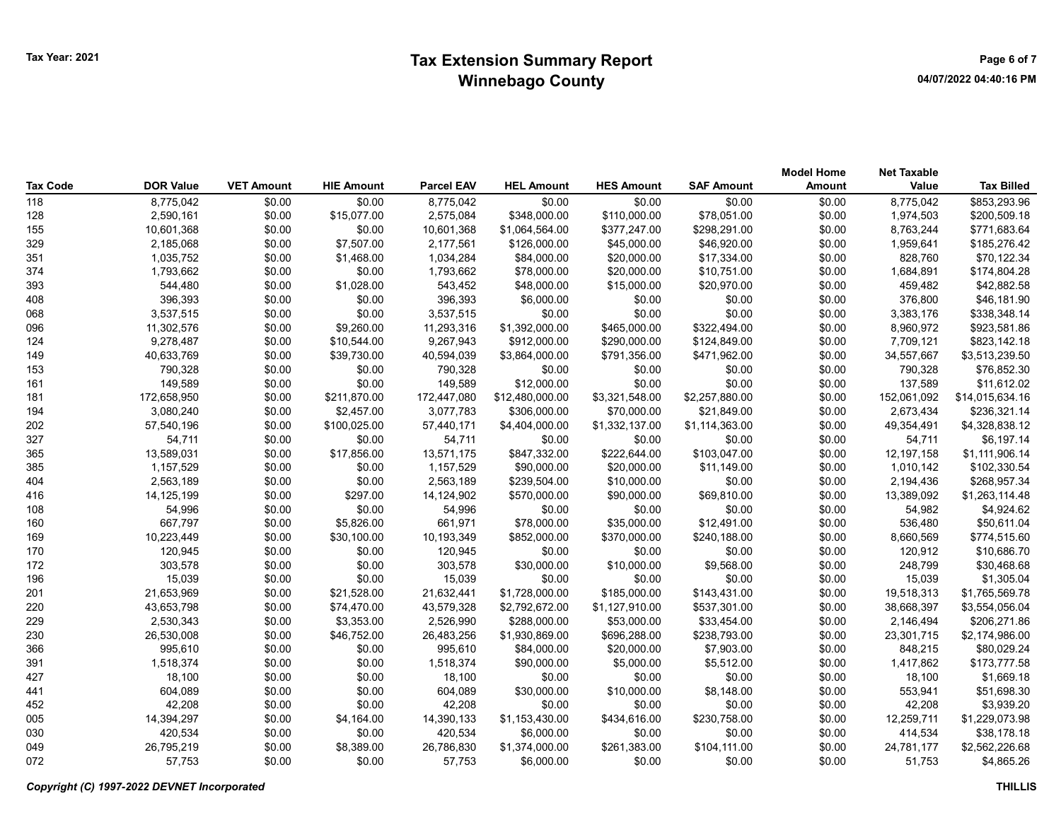| Tax Code | <b>DOR Value</b> | <b>VET Amount</b> | <b>HIE Amount</b> | <b>Parcel EAV</b> | <b>HEL Amount</b> | <b>HES Amount</b> | <b>SAF Amount</b> | <b>Model Home</b><br>Amount | <b>Net Taxable</b><br>Value | <b>Tax Billed</b> |
|----------|------------------|-------------------|-------------------|-------------------|-------------------|-------------------|-------------------|-----------------------------|-----------------------------|-------------------|
| 118      | 8,775,042        | \$0.00            | \$0.00            | 8,775,042         | \$0.00            | \$0.00            | \$0.00            | \$0.00                      | 8,775,042                   | \$853,293.96      |
| 128      | 2,590,161        | \$0.00            | \$15,077.00       | 2,575,084         | \$348,000.00      | \$110,000.00      | \$78,051.00       | \$0.00                      | 1,974,503                   | \$200,509.18      |
| 155      | 10,601,368       | \$0.00            | \$0.00            | 10,601,368        | \$1,064,564.00    | \$377,247.00      | \$298,291.00      | \$0.00                      | 8,763,244                   | \$771,683.64      |
| 329      | 2,185,068        | \$0.00            | \$7,507.00        | 2,177,561         | \$126,000.00      | \$45,000.00       | \$46,920.00       | \$0.00                      | 1,959,641                   | \$185,276.42      |
| 351      | 1,035,752        | \$0.00            | \$1,468.00        | 1,034,284         | \$84,000.00       | \$20,000.00       | \$17,334.00       | \$0.00                      | 828,760                     | \$70,122.34       |
| 374      | 1,793,662        | \$0.00            | \$0.00            | 1,793,662         | \$78,000.00       | \$20,000.00       | \$10,751.00       | \$0.00                      | 1,684,891                   | \$174,804.28      |
| 393      | 544,480          | \$0.00            | \$1,028.00        | 543,452           | \$48,000.00       | \$15,000.00       | \$20,970.00       | \$0.00                      | 459,482                     | \$42,882.58       |
| 408      | 396,393          | \$0.00            | \$0.00            | 396,393           | \$6,000.00        | \$0.00            | \$0.00            | \$0.00                      | 376,800                     | \$46,181.90       |
| 068      | 3,537,515        | \$0.00            | \$0.00            | 3,537,515         | \$0.00            | \$0.00            | \$0.00            | \$0.00                      | 3,383,176                   | \$338,348.14      |
| 096      | 11,302,576       | \$0.00            | \$9,260.00        | 11,293,316        | \$1,392,000.00    | \$465,000.00      | \$322,494.00      | \$0.00                      | 8,960,972                   | \$923,581.86      |
| 124      | 9,278,487        | \$0.00            | \$10,544.00       | 9,267,943         | \$912,000.00      | \$290,000.00      | \$124,849.00      | \$0.00                      | 7,709,121                   | \$823,142.18      |
| 149      | 40,633,769       | \$0.00            | \$39,730.00       | 40,594,039        | \$3,864,000.00    | \$791,356.00      | \$471,962.00      | \$0.00                      | 34,557,667                  | \$3,513,239.50    |
| 153      | 790,328          | \$0.00            | \$0.00            | 790,328           | \$0.00            | \$0.00            | \$0.00            | \$0.00                      | 790,328                     | \$76,852.30       |
| 161      | 149,589          | \$0.00            | \$0.00            | 149,589           | \$12,000.00       | \$0.00            | \$0.00            | \$0.00                      | 137,589                     | \$11,612.02       |
| 181      | 172,658,950      | \$0.00            | \$211,870.00      | 172,447,080       | \$12,480,000.00   | \$3,321,548.00    | \$2,257,880.00    | \$0.00                      | 152,061,092                 | \$14,015,634.16   |
| 194      | 3,080,240        | \$0.00            | \$2,457.00        | 3,077,783         | \$306,000.00      | \$70,000.00       | \$21,849.00       | \$0.00                      | 2,673,434                   | \$236,321.14      |
| 202      | 57,540,196       | \$0.00            | \$100,025.00      | 57,440,171        | \$4,404,000.00    | \$1,332,137.00    | \$1,114,363.00    | \$0.00                      | 49,354,491                  | \$4,328,838.12    |
| 327      | 54,711           | \$0.00            | \$0.00            | 54,711            | \$0.00            | \$0.00            | \$0.00            | \$0.00                      | 54,711                      | \$6,197.14        |
| 365      | 13,589,031       | \$0.00            | \$17,856.00       | 13,571,175        | \$847,332.00      | \$222,644.00      | \$103,047.00      | \$0.00                      | 12, 197, 158                | \$1,111,906.14    |
| 385      | 1,157,529        | \$0.00            | \$0.00            | 1,157,529         | \$90,000.00       | \$20,000.00       | \$11,149.00       | \$0.00                      | 1,010,142                   | \$102,330.54      |
| 404      | 2,563,189        | \$0.00            | \$0.00            | 2,563,189         | \$239,504.00      | \$10,000.00       | \$0.00            | \$0.00                      | 2,194,436                   | \$268,957.34      |
| 416      | 14,125,199       | \$0.00            | \$297.00          | 14,124,902        | \$570,000.00      | \$90,000.00       | \$69,810.00       | \$0.00                      | 13,389,092                  | \$1,263,114.48    |
| 108      | 54,996           | \$0.00            | \$0.00            | 54,996            | \$0.00            | \$0.00            | \$0.00            | \$0.00                      | 54,982                      | \$4,924.62        |
| 160      | 667,797          | \$0.00            | \$5,826.00        | 661,971           | \$78,000.00       | \$35,000.00       | \$12,491.00       | \$0.00                      | 536,480                     | \$50,611.04       |
| 169      | 10,223,449       | \$0.00            | \$30,100.00       | 10,193,349        | \$852,000.00      | \$370,000.00      | \$240,188.00      | \$0.00                      | 8,660,569                   | \$774,515.60      |
| 170      | 120,945          | \$0.00            | \$0.00            | 120,945           | \$0.00            | \$0.00            | \$0.00            | \$0.00                      | 120,912                     | \$10,686.70       |
| 172      | 303,578          | \$0.00            | \$0.00            | 303,578           | \$30,000.00       | \$10,000.00       | \$9,568.00        | \$0.00                      | 248,799                     | \$30,468.68       |
| 196      | 15,039           | \$0.00            | \$0.00            | 15,039            | \$0.00            | \$0.00            | \$0.00            | \$0.00                      | 15,039                      | \$1,305.04        |
| 201      | 21,653,969       | \$0.00            | \$21,528.00       | 21,632,441        | \$1,728,000.00    | \$185,000.00      | \$143,431.00      | \$0.00                      | 19,518,313                  | \$1,765,569.78    |
| 220      | 43,653,798       | \$0.00            | \$74,470.00       | 43,579,328        | \$2,792,672.00    | \$1,127,910.00    | \$537,301.00      | \$0.00                      | 38,668,397                  | \$3,554,056.04    |
| 229      | 2,530,343        | \$0.00            | \$3,353.00        | 2,526,990         | \$288,000.00      | \$53,000.00       | \$33,454.00       | \$0.00                      | 2,146,494                   | \$206,271.86      |
| 230      | 26,530,008       | \$0.00            | \$46,752.00       | 26,483,256        | \$1,930,869.00    | \$696,288.00      | \$238,793.00      | \$0.00                      | 23,301,715                  | \$2,174,986.00    |
| 366      | 995,610          | \$0.00            | \$0.00            | 995,610           | \$84,000.00       | \$20,000.00       | \$7,903.00        | \$0.00                      | 848,215                     | \$80,029.24       |
| 391      | 1,518,374        | \$0.00            | \$0.00            | 1,518,374         | \$90,000.00       | \$5,000.00        | \$5,512.00        | \$0.00                      | 1,417,862                   | \$173,777.58      |
| 427      | 18,100           | \$0.00            | \$0.00            | 18,100            | \$0.00            | \$0.00            | \$0.00            | \$0.00                      | 18,100                      | \$1,669.18        |
| 441      | 604,089          | \$0.00            | \$0.00            | 604,089           | \$30,000.00       | \$10,000.00       | \$8,148.00        | \$0.00                      | 553,941                     | \$51,698.30       |
| 452      | 42,208           | \$0.00            | \$0.00            | 42,208            | \$0.00            | \$0.00            | \$0.00            | \$0.00                      | 42,208                      | \$3,939.20        |
| 005      | 14,394,297       | \$0.00            | \$4,164.00        | 14,390,133        | \$1,153,430.00    | \$434,616.00      | \$230,758.00      | \$0.00                      | 12,259,711                  | \$1,229,073.98    |
| 030      | 420,534          | \$0.00            | \$0.00            | 420,534           | \$6,000.00        | \$0.00            | \$0.00            | \$0.00                      | 414,534                     | \$38,178.18       |
| 049      | 26,795,219       | \$0.00            | \$8,389.00        | 26,786,830        | \$1,374,000.00    | \$261,383.00      | \$104,111.00      | \$0.00                      | 24,781,177                  | \$2,562,226.68    |
| 072      | 57,753           | \$0.00            | \$0.00            | 57,753            | \$6,000.00        | \$0.00            | \$0.00            | \$0.00                      | 51.753                      | \$4,865.26        |